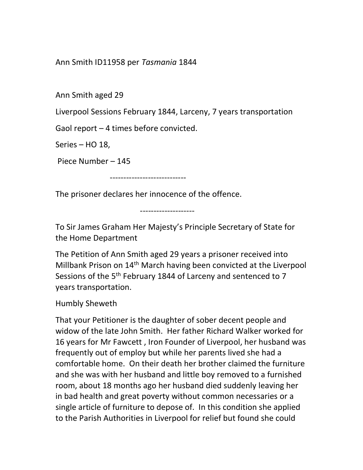Ann Smith ID11958 per Tasmania 1844

Ann Smith aged 29

Liverpool Sessions February 1844, Larceny, 7 years transportation

Gaol report – 4 times before convicted.

Series – HO 18,

Piece Number – 145

----------------------------

The prisoner declares her innocence of the offence.

To Sir James Graham Her Majesty's Principle Secretary of State for the Home Department

--------------------

The Petition of Ann Smith aged 29 years a prisoner received into Millbank Prison on 14<sup>th</sup> March having been convicted at the Liverpool Sessions of the 5<sup>th</sup> February 1844 of Larceny and sentenced to 7 years transportation.

Humbly Sheweth

That your Petitioner is the daughter of sober decent people and widow of the late John Smith. Her father Richard Walker worked for 16 years for Mr Fawcett , Iron Founder of Liverpool, her husband was frequently out of employ but while her parents lived she had a comfortable home. On their death her brother claimed the furniture and she was with her husband and little boy removed to a furnished room, about 18 months ago her husband died suddenly leaving her in bad health and great poverty without common necessaries or a single article of furniture to depose of. In this condition she applied to the Parish Authorities in Liverpool for relief but found she could